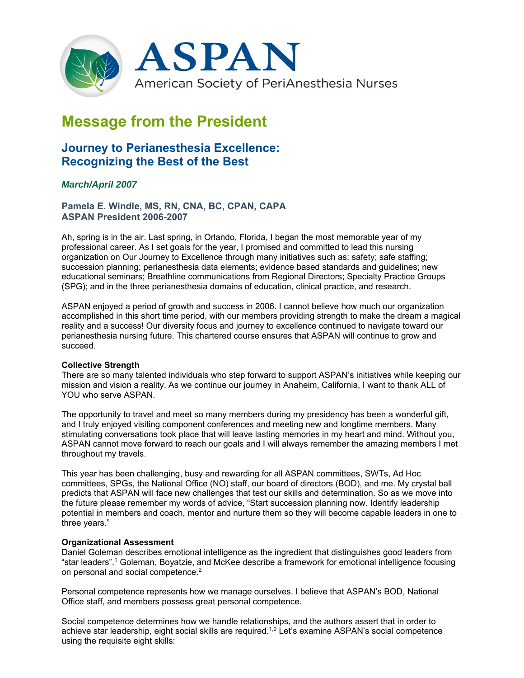

# **Message from the President**

## **Journey to Perianesthesia Excellence: Recognizing the Best of the Best**

### *March/April 2007*

**Pamela E. Windle, MS, RN, CNA, BC, CPAN, CAPA ASPAN President 2006-2007** 

Ah, spring is in the air. Last spring, in Orlando, Florida, I began the most memorable year of my professional career. As I set goals for the year, I promised and committed to lead this nursing organization on Our Journey to Excellence through many initiatives such as: safety; safe staffing; succession planning; perianesthesia data elements; evidence based standards and guidelines; new educational seminars; Breathline communications from Regional Directors; Specialty Practice Groups (SPG); and in the three perianesthesia domains of education, clinical practice, and research.

ASPAN enjoyed a period of growth and success in 2006. I cannot believe how much our organization accomplished in this short time period, with our members providing strength to make the dream a magical reality and a success! Our diversity focus and journey to excellence continued to navigate toward our perianesthesia nursing future. This chartered course ensures that ASPAN will continue to grow and succeed.

#### **Collective Strength**

There are so many talented individuals who step forward to support ASPAN's initiatives while keeping our mission and vision a reality. As we continue our journey in Anaheim, California, I want to thank ALL of YOU who serve ASPAN.

The opportunity to travel and meet so many members during my presidency has been a wonderful gift, and I truly enjoyed visiting component conferences and meeting new and longtime members. Many stimulating conversations took place that will leave lasting memories in my heart and mind. Without you, ASPAN cannot move forward to reach our goals and I will always remember the amazing members I met throughout my travels.

This year has been challenging, busy and rewarding for all ASPAN committees, SWTs, Ad Hoc committees, SPGs, the National Office (NO) staff, our board of directors (BOD), and me. My crystal ball predicts that ASPAN will face new challenges that test our skills and determination. So as we move into the future please remember my words of advice, "Start succession planning now. Identify leadership potential in members and coach, mentor and nurture them so they will become capable leaders in one to three years."

#### **Organizational Assessment**

Daniel Goleman describes emotional intelligence as the ingredient that distinguishes good leaders from "star leaders".1 Goleman, Boyatzie, and McKee describe a framework for emotional intelligence focusing on personal and social competence.<sup>2</sup>

Personal competence represents how we manage ourselves. I believe that ASPAN's BOD, National Office staff, and members possess great personal competence.

Social competence determines how we handle relationships, and the authors assert that in order to achieve star leadership, eight social skills are required.<sup>1,2</sup> Let's examine ASPAN's social competence using the requisite eight skills: